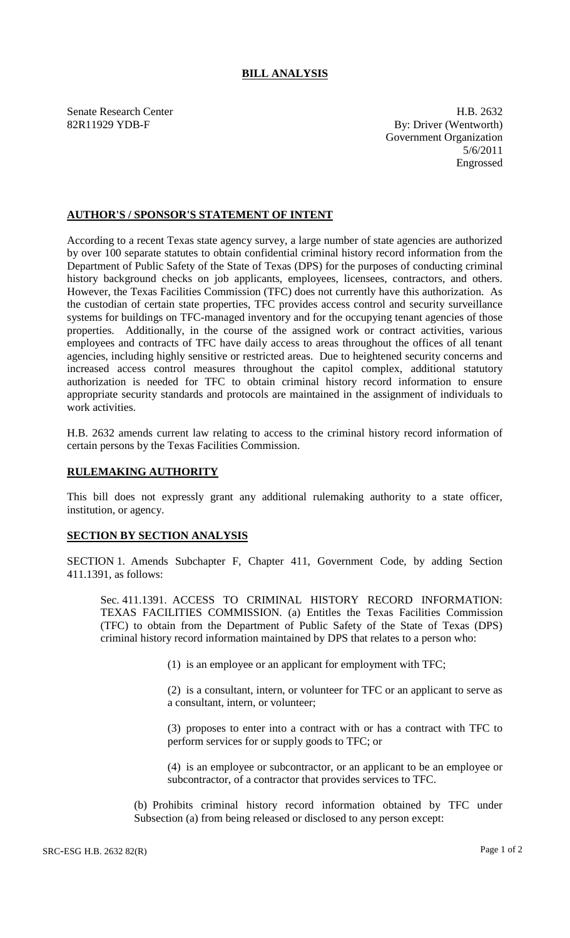## **BILL ANALYSIS**

Senate Research Center **H.B. 2632** 82R11929 YDB-F By: Driver (Wentworth) Government Organization 5/6/2011 Engrossed

## **AUTHOR'S / SPONSOR'S STATEMENT OF INTENT**

According to a recent Texas state agency survey, a large number of state agencies are authorized by over 100 separate statutes to obtain confidential criminal history record information from the Department of Public Safety of the State of Texas (DPS) for the purposes of conducting criminal history background checks on job applicants, employees, licensees, contractors, and others. However, the Texas Facilities Commission (TFC) does not currently have this authorization. As the custodian of certain state properties, TFC provides access control and security surveillance systems for buildings on TFC-managed inventory and for the occupying tenant agencies of those properties. Additionally, in the course of the assigned work or contract activities, various employees and contracts of TFC have daily access to areas throughout the offices of all tenant agencies, including highly sensitive or restricted areas. Due to heightened security concerns and increased access control measures throughout the capitol complex, additional statutory authorization is needed for TFC to obtain criminal history record information to ensure appropriate security standards and protocols are maintained in the assignment of individuals to work activities.

H.B. 2632 amends current law relating to access to the criminal history record information of certain persons by the Texas Facilities Commission.

## **RULEMAKING AUTHORITY**

This bill does not expressly grant any additional rulemaking authority to a state officer, institution, or agency.

## **SECTION BY SECTION ANALYSIS**

SECTION 1. Amends Subchapter F, Chapter 411, Government Code, by adding Section 411.1391, as follows:

Sec. 411.1391. ACCESS TO CRIMINAL HISTORY RECORD INFORMATION: TEXAS FACILITIES COMMISSION. (a) Entitles the Texas Facilities Commission (TFC) to obtain from the Department of Public Safety of the State of Texas (DPS) criminal history record information maintained by DPS that relates to a person who:

(1) is an employee or an applicant for employment with TFC;

(2) is a consultant, intern, or volunteer for TFC or an applicant to serve as a consultant, intern, or volunteer;

(3) proposes to enter into a contract with or has a contract with TFC to perform services for or supply goods to TFC; or

(4) is an employee or subcontractor, or an applicant to be an employee or subcontractor, of a contractor that provides services to TFC.

(b) Prohibits criminal history record information obtained by TFC under Subsection (a) from being released or disclosed to any person except: